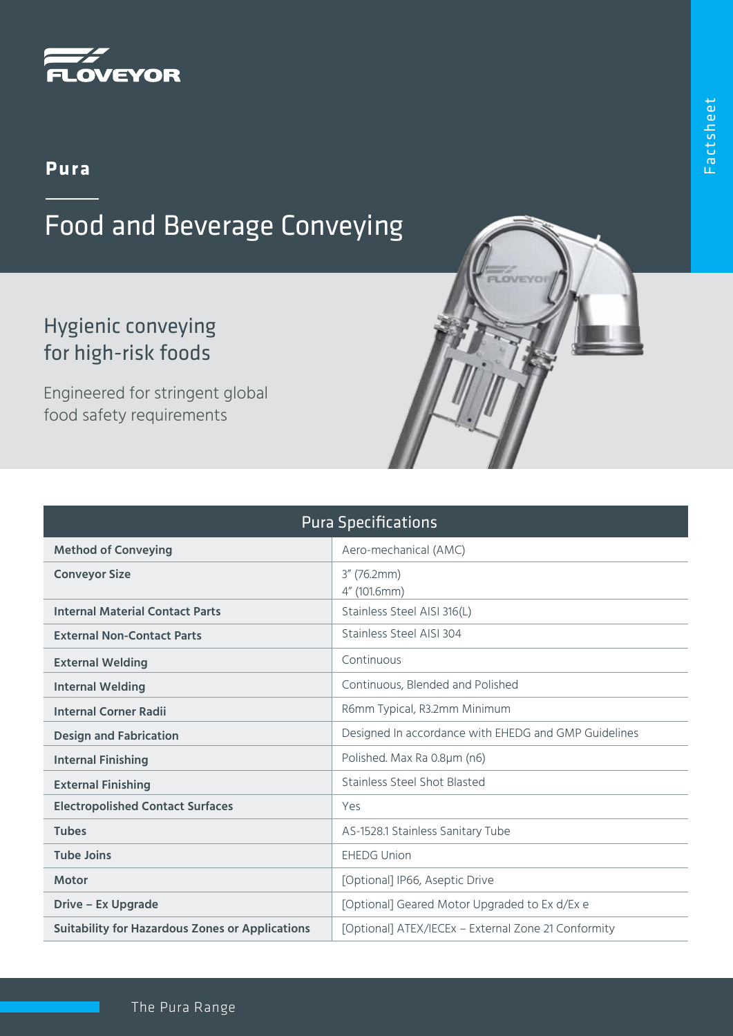

## **Pura**

## Food and Beverage Conveying

## Hygienic conveying for high-risk foods

Engineered for stringent global food safety requirements

| <b>Pura Specifications</b>                             |                                                      |
|--------------------------------------------------------|------------------------------------------------------|
| <b>Method of Conveying</b>                             | Aero-mechanical (AMC)                                |
| <b>Conveyor Size</b>                                   | $3''$ (76.2mm)<br>4" (101.6mm)                       |
| <b>Internal Material Contact Parts</b>                 | Stainless Steel AISI 316(L)                          |
| <b>External Non-Contact Parts</b>                      | Stainless Steel AISI 304                             |
| <b>External Welding</b>                                | Continuous                                           |
| <b>Internal Welding</b>                                | Continuous, Blended and Polished                     |
| <b>Internal Corner Radii</b>                           | R6mm Typical, R3.2mm Minimum                         |
| <b>Design and Fabrication</b>                          | Designed In accordance with EHEDG and GMP Guidelines |
| <b>Internal Finishing</b>                              | Polished. Max Ra 0.8µm (n6)                          |
| <b>External Finishing</b>                              | Stainless Steel Shot Blasted                         |
| <b>Electropolished Contact Surfaces</b>                | Yes                                                  |
| <b>Tubes</b>                                           | AS-1528.1 Stainless Sanitary Tube                    |
| <b>Tube Joins</b>                                      | <b>EHEDG Union</b>                                   |
| <b>Motor</b>                                           | [Optional] IP66, Aseptic Drive                       |
| <b>Drive - Ex Upgrade</b>                              | [Optional] Geared Motor Upgraded to Ex d/Ex e        |
| <b>Suitability for Hazardous Zones or Applications</b> | [Optional] ATEX/IECEx - External Zone 21 Conformity  |